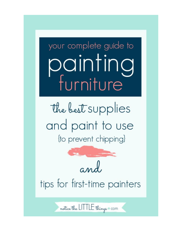your complete guide to painting furniture

the best supplies and paint to use (to prevent chipping)



notice the LITTLE things com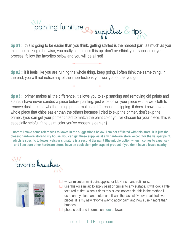## painting furniture et supplies & tips

**tip #1 ::** this is going to be easier than you think. getting started is the hardest part. as much as you might be thinking otherwise, you really can't mess this up. don't overthink your supplies or your process. follow the favorites below and you will be all set!

**tip #2** :: if it feels like you are ruining the whole thing, keep going. i often think the same thing. in the end, you will not notice any of the imperfections you worry about as you go.

**tip #3 ::** primer makes all the difference. it allows you to skip sanding and removing old paints and stains. i have never sanded a piece before painting. just wipe down your piece with a wet cloth to remove dust. i tested whether using primer makes a difference in chipping. it does. i now have a whole piece that chips easier than the others because i tried to skip the primer. don't skip the primer. {you can get your primer tinted to match the paint color you've chosen for your piece. this is especially helpful if the paint color you've chosen is darker.}

**note :: i make some references to lowes in the suggestions below. i am not affiliated with this store. it is just the closest hardware store to my house. you can get these supplies at any hardware store, except for the valspar paint, which is specific to lowes. valspar signature is a second tier paint {the middle option when it comes to expense} and i am sure other hardware stores have an equivalent primer/paint product if you don't have a lowes nearby.**

favorite brushes

|  | whizz microlon mini paint applicator kit, 4 inch, and refill rolls.<br>use this {or similar} to apply paint or primer to any surface. it will look a little<br>textured at first, when it dries this is less noticeable, this is the method i<br>used on my piano and hutch and it was the fastest i've ever painted two<br>pieces. it is my new favorite way to apply paint and now i use it more than<br>brushes.<br>photo credit and information here at lowes. |
|--|--------------------------------------------------------------------------------------------------------------------------------------------------------------------------------------------------------------------------------------------------------------------------------------------------------------------------------------------------------------------------------------------------------------------------------------------------------------------|
|--|--------------------------------------------------------------------------------------------------------------------------------------------------------------------------------------------------------------------------------------------------------------------------------------------------------------------------------------------------------------------------------------------------------------------------------------------------------------------|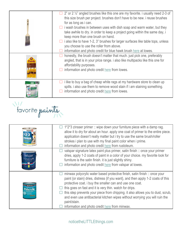| $\Box$ 2" or 2 $\frac{1}{2}$ " angled brushes like this one are my favorite. i usually need 2-3 of<br>this size brush per project. brushes don't have to be new. i reuse brushes<br>for as long as i can.<br>$\Box$ i wash brushes in between uses with dish soap and warm water, but they<br>take awhile to dry. in order to keep a project going within the same day, i<br>keep more than one brush on hand.<br>i also like to have 1-2, 3" brushes for larger surfaces like table tops, unless<br>you choose to use the roller from above.<br>information and photo credit for blue hawk brush here at lowes.<br>honestly, the brush doesn't matter that much. just pick one, preferably<br>angled, that is in your price range. i also like multipacks like this one for<br>affordability purposes.<br>information and photo credit here from lowes. |
|----------------------------------------------------------------------------------------------------------------------------------------------------------------------------------------------------------------------------------------------------------------------------------------------------------------------------------------------------------------------------------------------------------------------------------------------------------------------------------------------------------------------------------------------------------------------------------------------------------------------------------------------------------------------------------------------------------------------------------------------------------------------------------------------------------------------------------------------------------|
| i like to buy a bag of cheap white rags at my hardware store to clean up<br>spills. i also use them to remove wood stain if i am staining something.<br>information and photo credit here from lowes.                                                                                                                                                                                                                                                                                                                                                                                                                                                                                                                                                                                                                                                    |

favorite paints

|                     | $\Box$ 1*2*3 zinsser primer :: wipe down your furniture piece with a damp rag.<br>allow it to dry for about an hour. apply one coat of primer to the entire piece.<br>application doesn't really matter but i try to use the same brush/roller<br>strokes i plan to use with my final paint color when i prime.<br>information and photo credit here from rustoleum.                                                                                                                                                      |
|---------------------|---------------------------------------------------------------------------------------------------------------------------------------------------------------------------------------------------------------------------------------------------------------------------------------------------------------------------------------------------------------------------------------------------------------------------------------------------------------------------------------------------------------------------|
| valspar<br>SIGNATUF | valspar signature latex paint plus primer, satin finish :: once your primer<br>dries, apply 1-2 coats of paint in a color of your choice. my favorite look for<br>furniture is the satin finish. it is just slightly shiny.<br>information and photo credit here from valspar at lowes.                                                                                                                                                                                                                                   |
|                     | minwax polycrylic water based protective finish, satin finish :: once your<br>paint {or stain} dries, distress {if you want}, and then apply 1-2 coats of this<br>protective coat. i buy the smaller can and use one coat.<br>this goes on fast and it is very thin. watch for drips.<br>this step prevents your piece from chipping. it also allows you to dust, scrub,<br>and even use antibacterial kitchen wipes without worrying you will ruin the<br>paint/stain.<br>information and photo credit here from minwax. |